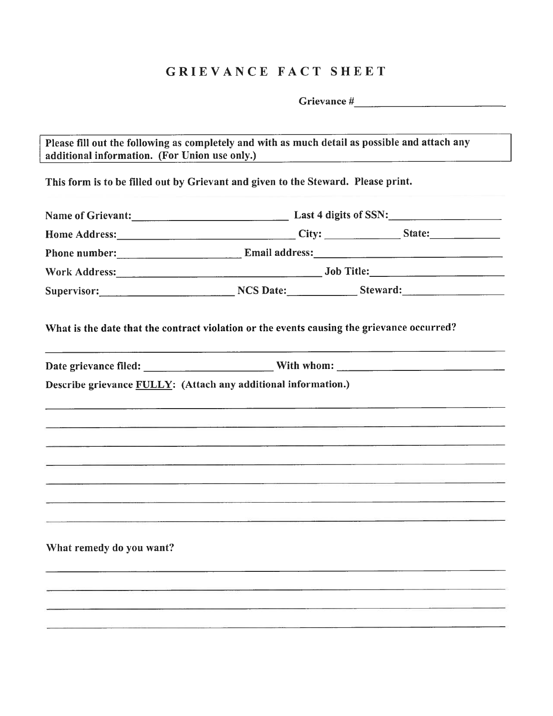## GRIEVANCE FACT SHEET

Grievance #

Please fill out the following as completely and with as much detail as possible and attach any additional information. (For Union use only.)

This form is to be filled out by Grievant and <sup>g</sup>iven to the Steward. Please print.

|                          |                                                                                                                                                                                                                                | Home Address: City: City: City: State:                                                                                                                                                                                         |
|--------------------------|--------------------------------------------------------------------------------------------------------------------------------------------------------------------------------------------------------------------------------|--------------------------------------------------------------------------------------------------------------------------------------------------------------------------------------------------------------------------------|
|                          |                                                                                                                                                                                                                                | Phone number: Email address: Email and Email and Email and Email and Phone numbers and American Contract of the Boston and American Contract of the Boston and American Contract of the Boston and American Contract of the Bo |
|                          |                                                                                                                                                                                                                                |                                                                                                                                                                                                                                |
|                          |                                                                                                                                                                                                                                | Supervisor: NCS Date: NES Date: Steward:                                                                                                                                                                                       |
|                          | What is the date that the contract violation or the events causing the grievance occurred?                                                                                                                                     |                                                                                                                                                                                                                                |
|                          |                                                                                                                                                                                                                                |                                                                                                                                                                                                                                |
|                          | Describe grievance FULLY: (Attach any additional information.)                                                                                                                                                                 |                                                                                                                                                                                                                                |
|                          |                                                                                                                                                                                                                                |                                                                                                                                                                                                                                |
|                          | and the second control of the second control of the second control of the second control of the second control of the second control of the second control of the second control of the second control of the second control o |                                                                                                                                                                                                                                |
|                          |                                                                                                                                                                                                                                |                                                                                                                                                                                                                                |
|                          | <u> 1970 - Samuel Barbara, Santa Barbara, Santa Barbara, Santa Barbara, Santa Barbara, Santa Barbara, Santa Barbara</u>                                                                                                        |                                                                                                                                                                                                                                |
|                          |                                                                                                                                                                                                                                |                                                                                                                                                                                                                                |
|                          |                                                                                                                                                                                                                                |                                                                                                                                                                                                                                |
|                          |                                                                                                                                                                                                                                |                                                                                                                                                                                                                                |
|                          |                                                                                                                                                                                                                                |                                                                                                                                                                                                                                |
|                          |                                                                                                                                                                                                                                |                                                                                                                                                                                                                                |
| What remedy do you want? |                                                                                                                                                                                                                                |                                                                                                                                                                                                                                |
|                          |                                                                                                                                                                                                                                |                                                                                                                                                                                                                                |
|                          |                                                                                                                                                                                                                                |                                                                                                                                                                                                                                |